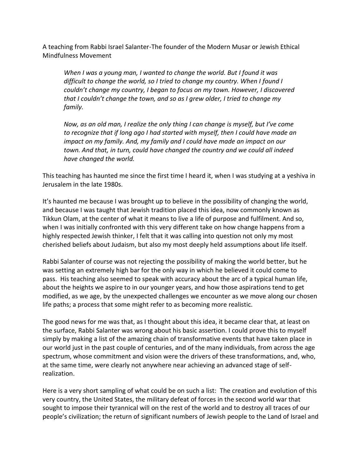A teaching from Rabbi Israel Salanter-The founder of the Modern Musar or Jewish Ethical Mindfulness Movement

*When I was a young man, I wanted to change the world. But I found it was difficult to change the world, so I tried to change my country. When I found I couldn't change my country, I began to focus on my town. However, I discovered that I couldn't change the town, and so as I grew older, I tried to change my family.*

*Now, as an old man, I realize the only thing I can change is myself, but I've come to recognize that if long ago I had started with myself, then I could have made an impact on my family. And, my family and I could have made an impact on our town. And that, in turn, could have changed the country and we could all indeed have changed the world.*

This teaching has haunted me since the first time I heard it, when I was studying at a yeshiva in Jerusalem in the late 1980s.

It's haunted me because I was brought up to believe in the possibility of changing the world, and because I was taught that Jewish tradition placed this idea, now commonly known as Tikkun Olam, at the center of what it means to live a life of purpose and fulfilment. And so, when I was initially confronted with this very different take on how change happens from a highly respected Jewish thinker, I felt that it was calling into question not only my most cherished beliefs about Judaism, but also my most deeply held assumptions about life itself.

Rabbi Salanter of course was not rejecting the possibility of making the world better, but he was setting an extremely high bar for the only way in which he believed it could come to pass. His teaching also seemed to speak with accuracy about the arc of a typical human life, about the heights we aspire to in our younger years, and how those aspirations tend to get modified, as we age, by the unexpected challenges we encounter as we move along our chosen life paths; a process that some might refer to as becoming more realistic.

The good news for me was that, as I thought about this idea, it became clear that, at least on the surface, Rabbi Salanter was wrong about his basic assertion. I could prove this to myself simply by making a list of the amazing chain of transformative events that have taken place in our world just in the past couple of centuries, and of the many individuals, from across the age spectrum, whose commitment and vision were the drivers of these transformations, and, who, at the same time, were clearly not anywhere near achieving an advanced stage of selfrealization.

Here is a very short sampling of what could be on such a list: The creation and evolution of this very country, the United States, the military defeat of forces in the second world war that sought to impose their tyrannical will on the rest of the world and to destroy all traces of our people's civilization; the return of significant numbers of Jewish people to the Land of Israel and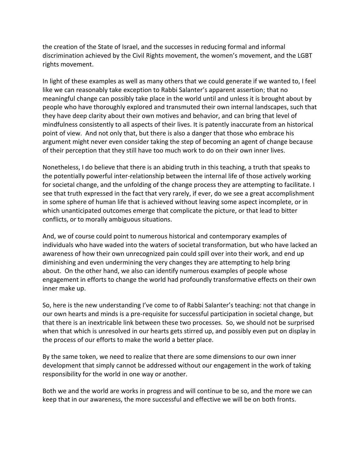the creation of the State of Israel, and the successes in reducing formal and informal discrimination achieved by the Civil Rights movement, the women's movement, and the LGBT rights movement.

In light of these examples as well as many others that we could generate if we wanted to, I feel like we can reasonably take exception to Rabbi Salanter's apparent assertion; that no meaningful change can possibly take place in the world until and unless it is brought about by people who have thoroughly explored and transmuted their own internal landscapes, such that they have deep clarity about their own motives and behavior, and can bring that level of mindfulness consistently to all aspects of their lives. It is patently inaccurate from an historical point of view. And not only that, but there is also a danger that those who embrace his argument might never even consider taking the step of becoming an agent of change because of their perception that they still have too much work to do on their own inner lives.

Nonetheless, I do believe that there is an abiding truth in this teaching, a truth that speaks to the potentially powerful inter-relationship between the internal life of those actively working for societal change, and the unfolding of the change process they are attempting to facilitate. I see that truth expressed in the fact that very rarely, if ever, do we see a great accomplishment in some sphere of human life that is achieved without leaving some aspect incomplete, or in which unanticipated outcomes emerge that complicate the picture, or that lead to bitter conflicts, or to morally ambiguous situations.

And, we of course could point to numerous historical and contemporary examples of individuals who have waded into the waters of societal transformation, but who have lacked an awareness of how their own unrecognized pain could spill over into their work, and end up diminishing and even undermining the very changes they are attempting to help bring about. On the other hand, we also can identify numerous examples of people whose engagement in efforts to change the world had profoundly transformative effects on their own inner make up.

So, here is the new understanding I've come to of Rabbi Salanter's teaching: not that change in our own hearts and minds is a pre-requisite for successful participation in societal change, but that there is an inextricable link between these two processes. So, we should not be surprised when that which is unresolved in our hearts gets stirred up, and possibly even put on display in the process of our efforts to make the world a better place.

By the same token, we need to realize that there are some dimensions to our own inner development that simply cannot be addressed without our engagement in the work of taking responsibility for the world in one way or another.

Both we and the world are works in progress and will continue to be so, and the more we can keep that in our awareness, the more successful and effective we will be on both fronts.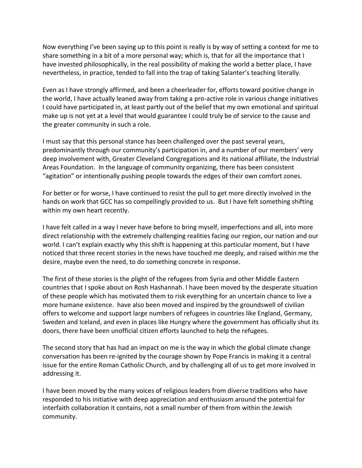Now everything I've been saying up to this point is really is by way of setting a context for me to share something in a bit of a more personal way; which is, that for all the importance that I have invested philosophically, in the real possibility of making the world a better place, I have nevertheless, in practice, tended to fall into the trap of taking Salanter's teaching literally.

Even as I have strongly affirmed, and been a cheerleader for, efforts toward positive change in the world, I have actually leaned away from taking a pro-active role in various change initiatives I could have participated in, at least partly out of the belief that my own emotional and spiritual make up is not yet at a level that would guarantee I could truly be of service to the cause and the greater community in such a role.

I must say that this personal stance has been challenged over the past several years, predominantly through our community's participation in, and a number of our members' very deep involvement with, Greater Cleveland Congregations and its national affiliate, the Industrial Areas Foundation. In the language of community organizing, there has been consistent "agitation" or intentionally pushing people towards the edges of their own comfort zones.

For better or for worse, I have continued to resist the pull to get more directly involved in the hands on work that GCC has so compellingly provided to us. But I have felt something shifting within my own heart recently.

I have felt called in a way I never have before to bring myself, imperfections and all, into more direct relationship with the extremely challenging realities facing our region, our nation and our world. I can't explain exactly why this shift is happening at this particular moment, but I have noticed that three recent stories in the news have touched me deeply, and raised within me the desire, maybe even the need, to do something concrete in response.

The first of these stories is the plight of the refugees from Syria and other Middle Eastern countries that I spoke about on Rosh Hashannah. I have been moved by the desperate situation of these people which has motivated them to risk everything for an uncertain chance to live a more humane existence. have also been moved and inspired by the groundswell of civilian offers to welcome and support large numbers of refugees in countries like England, Germany, Sweden and Iceland, and even in places like Hungry where the government has officially shut its doors, there have been unofficial citizen efforts launched to help the refugees.

The second story that has had an impact on me is the way in which the global climate change conversation has been re-ignited by the courage shown by Pope Francis in making it a central issue for the entire Roman Catholic Church, and by challenging all of us to get more involved in addressing it.

I have been moved by the many voices of religious leaders from diverse traditions who have responded to his initiative with deep appreciation and enthusiasm around the potential for interfaith collaboration it contains, not a small number of them from within the Jewish community.